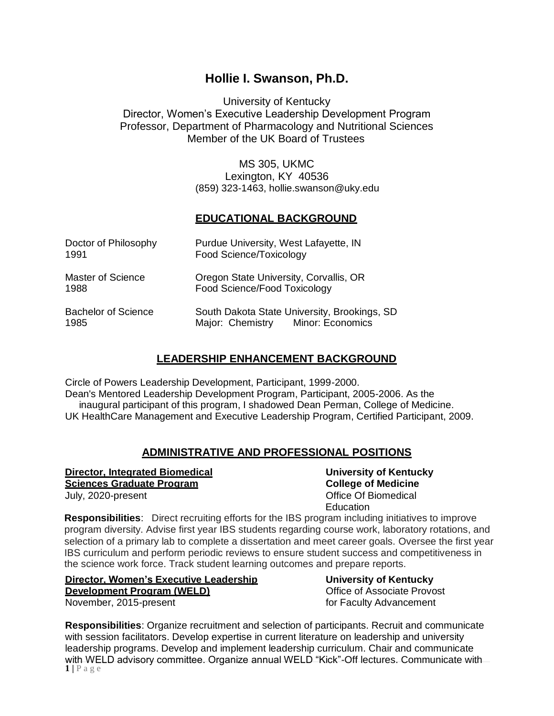# **Hollie I. Swanson, Ph.D.**

University of Kentucky Director, Women's Executive Leadership Development Program Professor, Department of Pharmacology and Nutritional Sciences Member of the UK Board of Trustees

> MS 305, UKMC Lexington, KY 40536 (859) 323-1463, [hollie.swanson@uky.edu](mailto:hollie.swanson@uky.edu)

# **EDUCATIONAL BACKGROUND**

| Doctor of Philosophy       | Purdue University, West Lafayette, IN        |
|----------------------------|----------------------------------------------|
| 1991                       | Food Science/Toxicology                      |
| <b>Master of Science</b>   | Oregon State University, Corvallis, OR       |
| 1988                       | Food Science/Food Toxicology                 |
| <b>Bachelor of Science</b> | South Dakota State University, Brookings, SD |
| 1985                       | Major: Chemistry Minor: Economics            |

# **LEADERSHIP ENHANCEMENT BACKGROUND**

Circle of Powers Leadership Development, Participant, 1999-2000. Dean's Mentored Leadership Development Program, Participant, 2005-2006. As the inaugural participant of this program, I shadowed Dean Perman, College of Medicine. UK HealthCare Management and Executive Leadership Program, Certified Participant, 2009.

# **ADMINISTRATIVE AND PROFESSIONAL POSITIONS**

**Director, Integrated Biomedical University of Kentucky Sciences Graduate Program College of Medicine** 

July, 2020-present **Office Of Biomedical Education** 

**Responsibilities**: Direct recruiting efforts for the IBS program including initiatives to improve program diversity. Advise first year IBS students regarding course work, laboratory rotations, and selection of a primary lab to complete a dissertation and meet career goals. Oversee the first year IBS curriculum and perform periodic reviews to ensure student success and competitiveness in the science work force. Track student learning outcomes and prepare reports.

| <b>Director, Women's Executive Leadership</b> | <b>University of Kentucky</b> |
|-----------------------------------------------|-------------------------------|
| Development Program (WELD)                    | Office of Associate Provos    |
| November, 2015-present                        | for Faculty Advancement       |

**University of Kentucky Office of Associate Provost** 

 $1$  |  $P$  a g e **Responsibilities**: Organize recruitment and selection of participants. Recruit and communicate with session facilitators. Develop expertise in current literature on leadership and university leadership programs. Develop and implement leadership curriculum. Chair and communicate with WELD advisory committee. Organize annual WELD "Kick"-Off lectures. Communicate with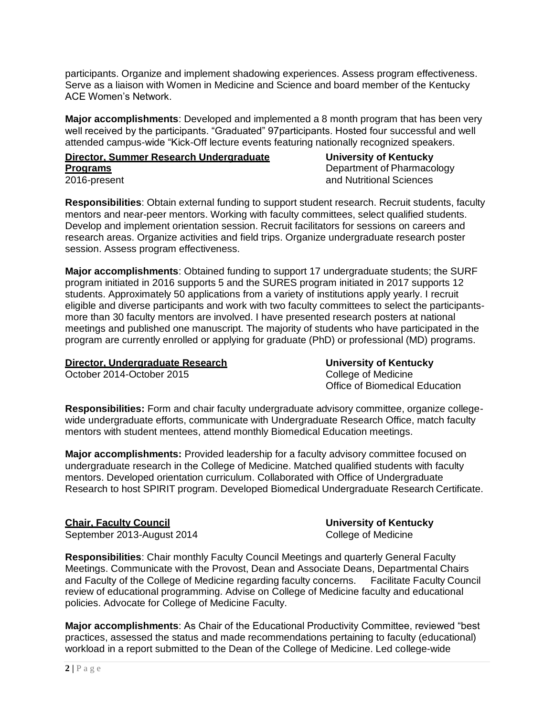participants. Organize and implement shadowing experiences. Assess program effectiveness. Serve as a liaison with Women in Medicine and Science and board member of the Kentucky ACE Women's Network.

**Major accomplishments**: Developed and implemented a 8 month program that has been very well received by the participants. "Graduated" 97participants. Hosted four successful and well attended campus-wide "Kick-Off lecture events featuring nationally recognized speakers.

#### **Director, Summer Research Undergraduate University of Kentucky Programs Department of Pharmacology** 2016-present and Nutritional Sciences

**Responsibilities**: Obtain external funding to support student research. Recruit students, faculty mentors and near-peer mentors. Working with faculty committees, select qualified students. Develop and implement orientation session. Recruit facilitators for sessions on careers and research areas. Organize activities and field trips. Organize undergraduate research poster session. Assess program effectiveness.

**Major accomplishments**: Obtained funding to support 17 undergraduate students; the SURF program initiated in 2016 supports 5 and the SURES program initiated in 2017 supports 12 students. Approximately 50 applications from a variety of institutions apply yearly. I recruit eligible and diverse participants and work with two faculty committees to select the participantsmore than 30 faculty mentors are involved. I have presented research posters at national meetings and published one manuscript. The majority of students who have participated in the program are currently enrolled or applying for graduate (PhD) or professional (MD) programs.

#### **Director, Undergraduate Research University of Kentucky**

October 2014-October 2015 College of Medicine

Office of Biomedical Education

**Responsibilities:** Form and chair faculty undergraduate advisory committee, organize collegewide undergraduate efforts, communicate with Undergraduate Research Office, match faculty mentors with student mentees, attend monthly Biomedical Education meetings.

**Major accomplishments:** Provided leadership for a faculty advisory committee focused on undergraduate research in the College of Medicine. Matched qualified students with faculty mentors. Developed orientation curriculum. Collaborated with Office of Undergraduate Research to host SPIRIT program. Developed Biomedical Undergraduate Research Certificate.

# **Chair, Faculty Council University of Kentucky**

September 2013-August 2014 College of Medicine

**Responsibilities**: Chair monthly Faculty Council Meetings and quarterly General Faculty Meetings. Communicate with the Provost, Dean and Associate Deans, Departmental Chairs and Faculty of the College of Medicine regarding faculty concerns. Facilitate Faculty Council review of educational programming. Advise on College of Medicine faculty and educational policies. Advocate for College of Medicine Faculty.

**Major accomplishments**: As Chair of the Educational Productivity Committee, reviewed "best practices, assessed the status and made recommendations pertaining to faculty (educational) workload in a report submitted to the Dean of the College of Medicine. Led college-wide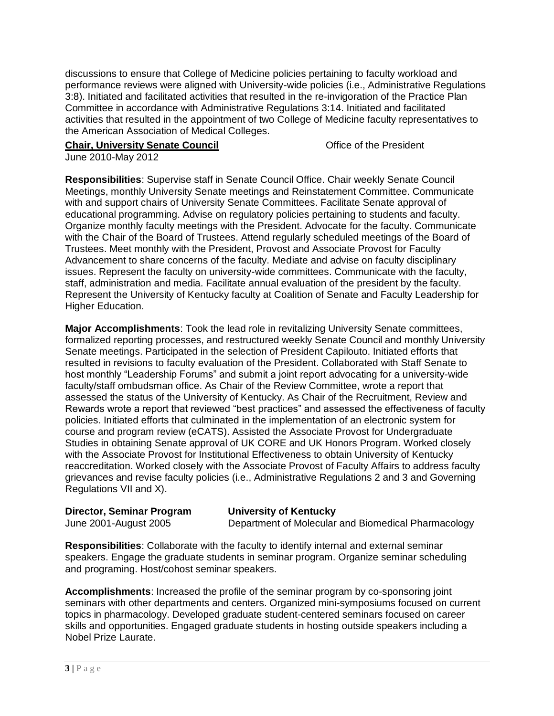discussions to ensure that College of Medicine policies pertaining to faculty workload and performance reviews were aligned with University-wide policies (i.e., Administrative Regulations 3:8). Initiated and facilitated activities that resulted in the re-invigoration of the Practice Plan Committee in accordance with Administrative Regulations 3:14. Initiated and facilitated activities that resulted in the appointment of two College of Medicine faculty representatives to the American Association of Medical Colleges.

### **Chair, University Senate Council Chair, University Senate Council Chair** Office of the President

June 2010-May 2012

**Responsibilities**: Supervise staff in Senate Council Office. Chair weekly Senate Council Meetings, monthly University Senate meetings and Reinstatement Committee. Communicate with and support chairs of University Senate Committees. Facilitate Senate approval of educational programming. Advise on regulatory policies pertaining to students and faculty. Organize monthly faculty meetings with the President. Advocate for the faculty. Communicate with the Chair of the Board of Trustees. Attend regularly scheduled meetings of the Board of Trustees. Meet monthly with the President, Provost and Associate Provost for Faculty Advancement to share concerns of the faculty. Mediate and advise on faculty disciplinary issues. Represent the faculty on university-wide committees. Communicate with the faculty, staff, administration and media. Facilitate annual evaluation of the president by the faculty. Represent the University of Kentucky faculty at Coalition of Senate and Faculty Leadership for Higher Education.

**Major Accomplishments**: Took the lead role in revitalizing University Senate committees, formalized reporting processes, and restructured weekly Senate Council and monthly University Senate meetings. Participated in the selection of President Capilouto. Initiated efforts that resulted in revisions to faculty evaluation of the President. Collaborated with Staff Senate to host monthly "Leadership Forums" and submit a joint report advocating for a university-wide faculty/staff ombudsman office. As Chair of the Review Committee, wrote a report that assessed the status of the University of Kentucky. As Chair of the Recruitment, Review and Rewards wrote a report that reviewed "best practices" and assessed the effectiveness of faculty policies. Initiated efforts that culminated in the implementation of an electronic system for course and program review (eCATS). Assisted the Associate Provost for Undergraduate Studies in obtaining Senate approval of UK CORE and UK Honors Program. Worked closely with the Associate Provost for Institutional Effectiveness to obtain University of Kentucky reaccreditation. Worked closely with the Associate Provost of Faculty Affairs to address faculty grievances and revise faculty policies (i.e., Administrative Regulations 2 and 3 and Governing Regulations VII and X).

**Director, Seminar Program University of Kentucky**

June 2001-August 2005 Department of Molecular and Biomedical Pharmacology

**Responsibilities**: Collaborate with the faculty to identify internal and external seminar speakers. Engage the graduate students in seminar program. Organize seminar scheduling and programing. Host/cohost seminar speakers.

**Accomplishments**: Increased the profile of the seminar program by co-sponsoring joint seminars with other departments and centers. Organized mini-symposiums focused on current topics in pharmacology. Developed graduate student-centered seminars focused on career skills and opportunities. Engaged graduate students in hosting outside speakers including a Nobel Prize Laurate.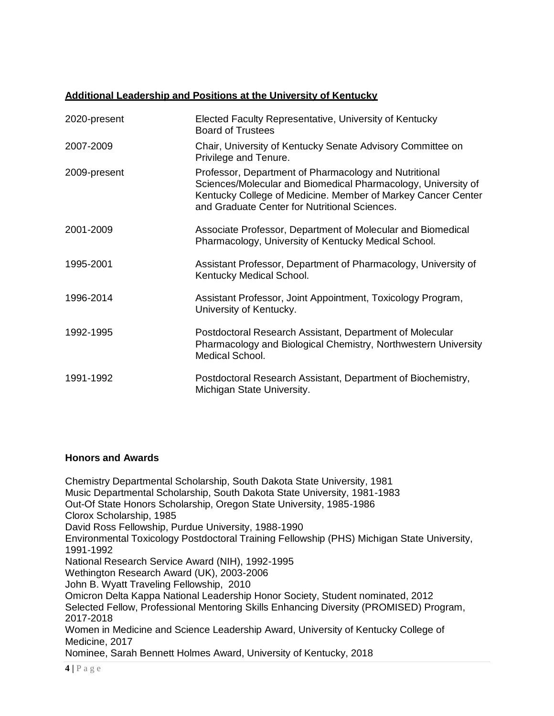# **Additional Leadership and Positions at the University of Kentucky**

| 2020-present | Elected Faculty Representative, University of Kentucky<br><b>Board of Trustees</b>                                                                                                                                                      |
|--------------|-----------------------------------------------------------------------------------------------------------------------------------------------------------------------------------------------------------------------------------------|
| 2007-2009    | Chair, University of Kentucky Senate Advisory Committee on<br>Privilege and Tenure.                                                                                                                                                     |
| 2009-present | Professor, Department of Pharmacology and Nutritional<br>Sciences/Molecular and Biomedical Pharmacology, University of<br>Kentucky College of Medicine. Member of Markey Cancer Center<br>and Graduate Center for Nutritional Sciences. |
| 2001-2009    | Associate Professor, Department of Molecular and Biomedical<br>Pharmacology, University of Kentucky Medical School.                                                                                                                     |
| 1995-2001    | Assistant Professor, Department of Pharmacology, University of<br>Kentucky Medical School.                                                                                                                                              |
| 1996-2014    | Assistant Professor, Joint Appointment, Toxicology Program,<br>University of Kentucky.                                                                                                                                                  |
| 1992-1995    | Postdoctoral Research Assistant, Department of Molecular<br>Pharmacology and Biological Chemistry, Northwestern University<br>Medical School.                                                                                           |
| 1991-1992    | Postdoctoral Research Assistant, Department of Biochemistry,<br>Michigan State University.                                                                                                                                              |

# **Honors and Awards**

Chemistry Departmental Scholarship, South Dakota State University, 1981 Music Departmental Scholarship, South Dakota State University, 1981-1983 Out-Of State Honors Scholarship, Oregon State University, 1985-1986 Clorox Scholarship, 1985 David Ross Fellowship, Purdue University, 1988-1990 Environmental Toxicology Postdoctoral Training Fellowship (PHS) Michigan State University, 1991-1992 National Research Service Award (NIH), 1992-1995 Wethington Research Award (UK), 2003-2006 John B. Wyatt Traveling Fellowship, 2010 Omicron Delta Kappa National Leadership Honor Society, Student nominated, 2012 Selected Fellow, Professional Mentoring Skills Enhancing Diversity (PROMISED) Program, 2017-2018 Women in Medicine and Science Leadership Award, University of Kentucky College of Medicine, 2017 Nominee, Sarah Bennett Holmes Award, University of Kentucky, 2018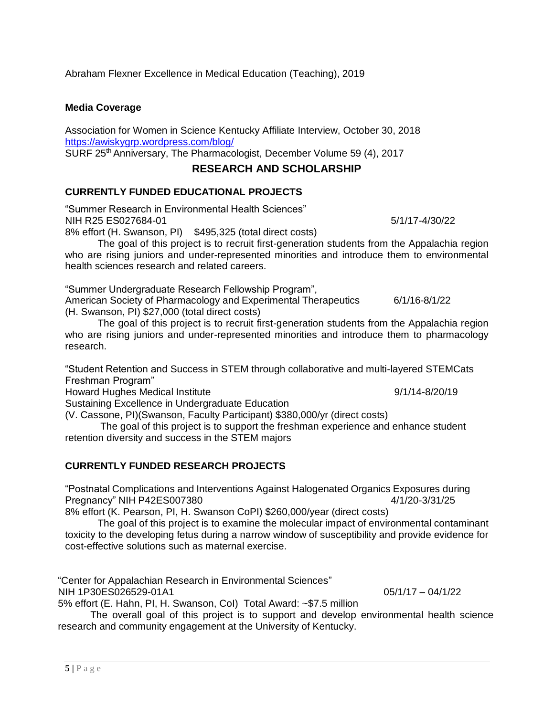Abraham Flexner Excellence in Medical Education (Teaching), 2019

# **Media Coverage**

Association for Women in Science Kentucky Affiliate Interview, October 30, 2018 <https://awiskygrp.wordpress.com/blog/> SURF 25th Anniversary, The Pharmacologist, December Volume 59 (4), 2017

# **RESEARCH AND SCHOLARSHIP**

# **CURRENTLY FUNDED EDUCATIONAL PROJECTS**

"Summer Research in Environmental Health Sciences" NIH R25 ES027684-01 5/1/17-4/30/22

8% effort (H. Swanson, PI) \$495,325 (total direct costs)

The goal of this project is to recruit first-generation students from the Appalachia region who are rising juniors and under-represented minorities and introduce them to environmental health sciences research and related careers.

"Summer Undergraduate Research Fellowship Program",

American Society of Pharmacology and Experimental Therapeutics 6/1/16-8/1/22 (H. Swanson, PI) \$27,000 (total direct costs)

The goal of this project is to recruit first-generation students from the Appalachia region who are rising juniors and under-represented minorities and introduce them to pharmacology research.

"Student Retention and Success in STEM through collaborative and multi-layered STEMCats Freshman Program"

Howard Hughes Medical Institute 19/1/14-8/20/19

Sustaining Excellence in Undergraduate Education

(V. Cassone, PI)(Swanson, Faculty Participant) \$380,000/yr (direct costs)

The goal of this project is to support the freshman experience and enhance student retention diversity and success in the STEM majors

# **CURRENTLY FUNDED RESEARCH PROJECTS**

"Postnatal Complications and Interventions Against Halogenated Organics Exposures during Pregnancy" NIH P42ES007380 4/1/20-3/31/25

8% effort (K. Pearson, PI, H. Swanson CoPI) \$260,000/year (direct costs)

The goal of this project is to examine the molecular impact of environmental contaminant toxicity to the developing fetus during a narrow window of susceptibility and provide evidence for cost-effective solutions such as maternal exercise.

"Center for Appalachian Research in Environmental Sciences"

NIH 1P30ES026529-01A1 05/1/17 – 04/1/22

5% effort (E. Hahn, PI, H. Swanson, CoI) Total Award: ~\$7.5 million

The overall goal of this project is to support and develop environmental health science research and community engagement at the University of Kentucky.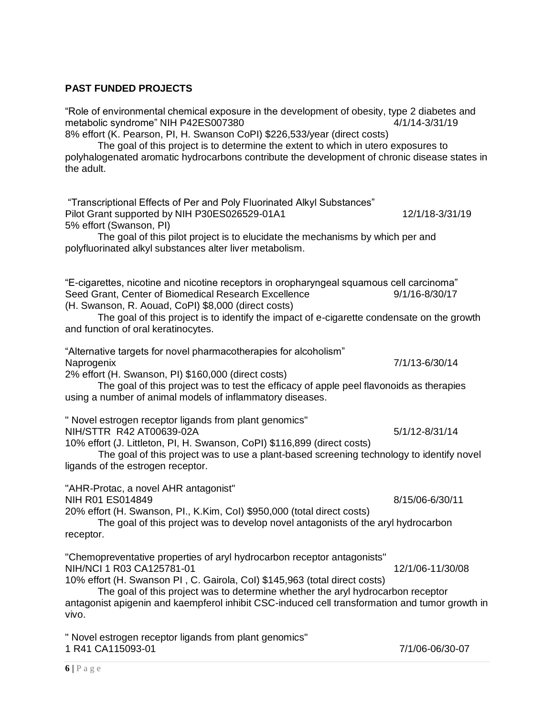#### **PAST FUNDED PROJECTS**

"Role of environmental chemical exposure in the development of obesity, type 2 diabetes and metabolic syndrome" NIH P42ES007380 4/1/14-3/31/19

8% effort (K. Pearson, PI, H. Swanson CoPI) \$226,533/year (direct costs)

The goal of this project is to determine the extent to which in utero exposures to polyhalogenated aromatic hydrocarbons contribute the development of chronic disease states in the adult.

"Transcriptional Effects of Per and Poly Fluorinated Alkyl Substances" Pilot Grant supported by NIH P30ES026529-01A1 12/1/18-3/31/19 5% effort (Swanson, PI)

The goal of this pilot project is to elucidate the mechanisms by which per and polyfluorinated alkyl substances alter liver metabolism.

"E-cigarettes, nicotine and nicotine receptors in oropharyngeal squamous cell carcinoma" Seed Grant, Center of Biomedical Research Excellence 9/1/16-8/30/17 (H. Swanson, R. Aouad, CoPI) \$8,000 (direct costs)

The goal of this project is to identify the impact of e-cigarette condensate on the growth and function of oral keratinocytes.

"Alternative targets for novel pharmacotherapies for alcoholism" Naprogenix 7/1/13-6/30/14

2% effort (H. Swanson, PI) \$160,000 (direct costs)

The goal of this project was to test the efficacy of apple peel flavonoids as therapies using a number of animal models of inflammatory diseases.

" Novel estrogen receptor ligands from plant genomics"

NIH/STTR R42 AT00639-02A 5/1/12-8/31/14

10% effort (J. Littleton, PI, H. Swanson, CoPI) \$116,899 (direct costs)

The goal of this project was to use a plant-based screening technology to identify novel ligands of the estrogen receptor.

"AHR-Protac, a novel AHR antagonist"

NIH R01 ES014849 8/15/06-6/30/11

20% effort (H. Swanson, PI., K.Kim, CoI) \$950,000 (total direct costs)

The goal of this project was to develop novel antagonists of the aryl hydrocarbon receptor.

"Chemopreventative properties of aryl hydrocarbon receptor antagonists" NIH/NCI 1 R03 CA125781-01 12/1/06-11/30/08

10% effort (H. Swanson PI , C. Gairola, CoI) \$145,963 (total direct costs)

The goal of this project was to determine whether the aryl hydrocarbon receptor antagonist apigenin and kaempferol inhibit CSC-induced cell transformation and tumor growth in vivo.

" Novel estrogen receptor ligands from plant genomics" 1 R41 CA115093-01 7/1/06-06/30-07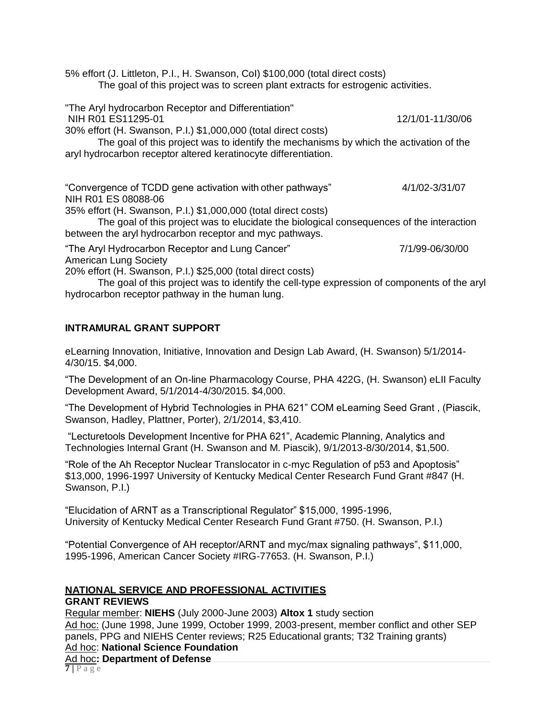5% effort (J. Littleton, P.I., H. Swanson, CoI) \$100,000 (total direct costs) The goal of this project was to screen plant extracts for estrogenic activities.

"The Aryl hydrocarbon Receptor and Differentiation" NIH R01 ES11295-01 2020 12/1/01-11/30/06 30% effort (H. Swanson, P.I.) \$1,000,000 (total direct costs) The goal of this project was to identify the mechanisms by which the activation of the aryl hydrocarbon receptor altered keratinocyte differentiation. "Convergence of TCDD gene activation with other pathways" 4/1/02-3/31/07 NIH R01 ES 08088-06 35% effort (H. Swanson, P.I.) \$1,000,000 (total direct costs) The goal of this project was to elucidate the biological consequences of the interaction between the aryl hydrocarbon receptor and myc pathways. "The Aryl Hydrocarbon Receptor and Lung Cancer" 7/1/99-06/30/00 American Lung Society 20% effort (H. Swanson, P.I.) \$25,000 (total direct costs)

The goal of this project was to identify the cell-type expression of components of the aryl hydrocarbon receptor pathway in the human lung.

# **INTRAMURAL GRANT SUPPORT**

eLearning Innovation, Initiative, Innovation and Design Lab Award, (H. Swanson) 5/1/2014- 4/30/15. \$4,000.

"The Development of an On-line Pharmacology Course, PHA 422G, (H. Swanson) eLII Faculty Development Award, 5/1/2014-4/30/2015. \$4,000.

"The Development of Hybrid Technologies in PHA 621" COM eLearning Seed Grant , (Piascik, Swanson, Hadley, Plattner, Porter), 2/1/2014, \$3,410.

"Lecturetools Development Incentive for PHA 621", Academic Planning, Analytics and Technologies Internal Grant (H. Swanson and M. Piascik), 9/1/2013-8/30/2014, \$1,500.

"Role of the Ah Receptor Nuclear Translocator in c-myc Regulation of p53 and Apoptosis" \$13,000, 1996-1997 University of Kentucky Medical Center Research Fund Grant #847 (H. Swanson, P.I.)

"Elucidation of ARNT as a Transcriptional Regulator" \$15,000, 1995-1996, University of Kentucky Medical Center Research Fund Grant #750. (H. Swanson, P.I.)

"Potential Convergence of AH receptor/ARNT and myc/max signaling pathways", \$11,000, 1995-1996, American Cancer Society #IRG-77653. (H. Swanson, P.I.)

#### **NATIONAL SERVICE AND PROFESSIONAL ACTIVITIES GRANT REVIEWS**

**7 |** P a g e Regular member: **NIEHS** (July 2000-June 2003) **Altox 1** study section Ad hoc: (June 1998, June 1999, October 1999, 2003-present, member conflict and other SEP panels, PPG and NIEHS Center reviews; R25 Educational grants; T32 Training grants) Ad hoc: **National Science Foundation** Ad hoc**: Department of Defense**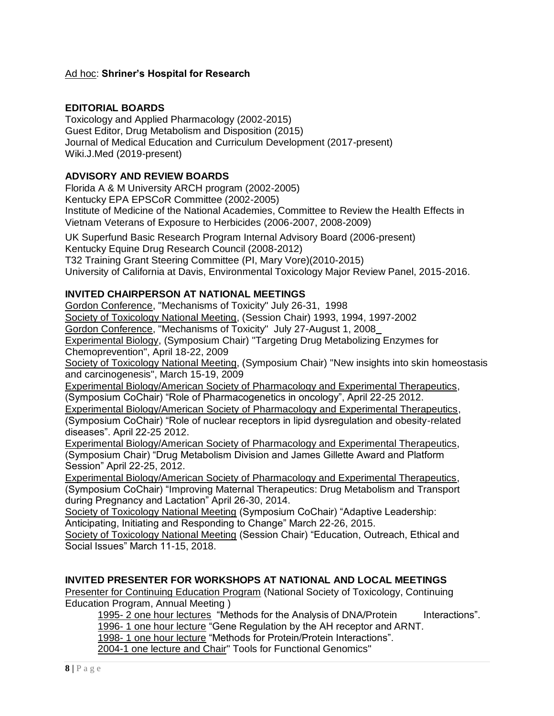# Ad hoc: **Shriner's Hospital for Research**

### **EDITORIAL BOARDS**

Toxicology and Applied Pharmacology (2002-2015) Guest Editor, Drug Metabolism and Disposition (2015) Journal of Medical Education and Curriculum Development (2017-present) Wiki.J.Med (2019-present)

### **ADVISORY AND REVIEW BOARDS**

Florida A & M University ARCH program (2002-2005) Kentucky EPA EPSCoR Committee (2002-2005) Institute of Medicine of the National Academies, Committee to Review the Health Effects in Vietnam Veterans of Exposure to Herbicides (2006-2007, 2008-2009)

UK Superfund Basic Research Program Internal Advisory Board (2006-present) Kentucky Equine Drug Research Council (2008-2012) T32 Training Grant Steering Committee (PI, Mary Vore)(2010-2015) University of California at Davis, Environmental Toxicology Major Review Panel, 2015-2016.

### **INVITED CHAIRPERSON AT NATIONAL MEETINGS**

Gordon Conference, "Mechanisms of Toxicity" July 26-31, 1998

Society of Toxicology National Meeting, (Session Chair) 1993, 1994, 1997-2002

Gordon Conference, "Mechanisms of Toxicity" July 27-August 1, 2008

Experimental Biology, (Symposium Chair) "Targeting Drug Metabolizing Enzymes for Chemoprevention", April 18-22, 2009

Society of Toxicology National Meeting, (Symposium Chair) "New insights into skin homeostasis and carcinogenesis", March 15-19, 2009

Experimental Biology/American Society of Pharmacology and Experimental Therapeutics, (Symposium CoChair) "Role of Pharmacogenetics in oncology", April 22-25 2012.

Experimental Biology/American Society of Pharmacology and Experimental Therapeutics, (Symposium CoChair) "Role of nuclear receptors in lipid dysregulation and obesity-related diseases". April 22-25 2012.

Experimental Biology/American Society of Pharmacology and Experimental Therapeutics, (Symposium Chair) "Drug Metabolism Division and James Gillette Award and Platform Session" April 22-25, 2012.

Experimental Biology/American Society of Pharmacology and Experimental Therapeutics, (Symposium CoChair) "Improving Maternal Therapeutics: Drug Metabolism and Transport during Pregnancy and Lactation" April 26-30, 2014.

Society of Toxicology National Meeting (Symposium CoChair) "Adaptive Leadership: Anticipating, Initiating and Responding to Change" March 22-26, 2015.

Society of Toxicology National Meeting (Session Chair) "Education, Outreach, Ethical and Social Issues" March 11-15, 2018.

# **INVITED PRESENTER FOR WORKSHOPS AT NATIONAL AND LOCAL MEETINGS**

Presenter for Continuing Education Program (National Society of Toxicology, Continuing Education Program, Annual Meeting )

1995- 2 one hour lectures "Methods for the Analysis of DNA/Protein Interactions".

1996- 1 one hour lecture "Gene Regulation by the AH receptor and ARNT.

1998- 1 one hour lecture "Methods for Protein/Protein Interactions".

2004-1 one lecture and Chair" Tools for Functional Genomics"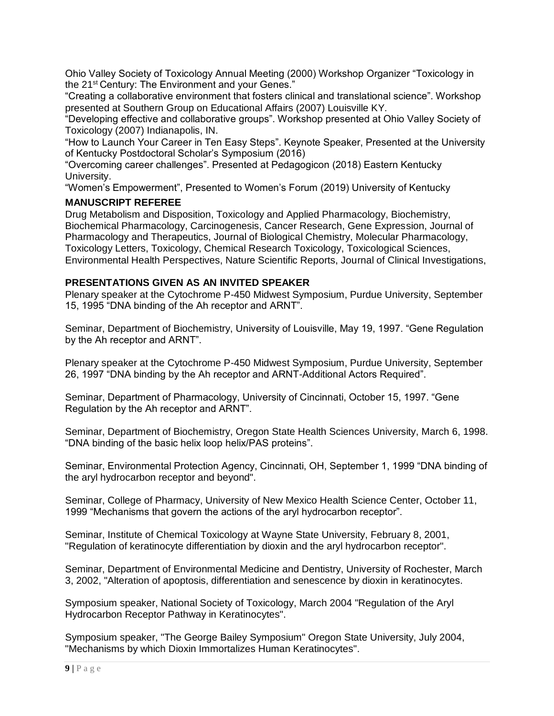Ohio Valley Society of Toxicology Annual Meeting (2000) Workshop Organizer "Toxicology in the 21<sup>st</sup> Century: The Environment and your Genes."

"Creating a collaborative environment that fosters clinical and translational science". Workshop presented at Southern Group on Educational Affairs (2007) Louisville KY.

"Developing effective and collaborative groups". Workshop presented at Ohio Valley Society of Toxicology (2007) Indianapolis, IN.

"How to Launch Your Career in Ten Easy Steps". Keynote Speaker, Presented at the University of Kentucky Postdoctoral Scholar's Symposium (2016)

"Overcoming career challenges". Presented at Pedagogicon (2018) Eastern Kentucky University.

"Women's Empowerment", Presented to Women's Forum (2019) University of Kentucky

### **MANUSCRIPT REFEREE**

Drug Metabolism and Disposition, Toxicology and Applied Pharmacology, Biochemistry, Biochemical Pharmacology, Carcinogenesis, Cancer Research, Gene Expression, Journal of Pharmacology and Therapeutics, Journal of Biological Chemistry, Molecular Pharmacology, Toxicology Letters, Toxicology, Chemical Research Toxicology, Toxicological Sciences, Environmental Health Perspectives, Nature Scientific Reports, Journal of Clinical Investigations,

#### **PRESENTATIONS GIVEN AS AN INVITED SPEAKER**

Plenary speaker at the Cytochrome P-450 Midwest Symposium, Purdue University, September 15, 1995 "DNA binding of the Ah receptor and ARNT".

Seminar, Department of Biochemistry, University of Louisville, May 19, 1997. "Gene Regulation by the Ah receptor and ARNT".

Plenary speaker at the Cytochrome P-450 Midwest Symposium, Purdue University, September 26, 1997 "DNA binding by the Ah receptor and ARNT-Additional Actors Required".

Seminar, Department of Pharmacology, University of Cincinnati, October 15, 1997. "Gene Regulation by the Ah receptor and ARNT".

Seminar, Department of Biochemistry, Oregon State Health Sciences University, March 6, 1998. "DNA binding of the basic helix loop helix/PAS proteins".

Seminar, Environmental Protection Agency, Cincinnati, OH, September 1, 1999 "DNA binding of the aryl hydrocarbon receptor and beyond".

Seminar, College of Pharmacy, University of New Mexico Health Science Center, October 11, 1999 "Mechanisms that govern the actions of the aryl hydrocarbon receptor".

Seminar, Institute of Chemical Toxicology at Wayne State University, February 8, 2001, "Regulation of keratinocyte differentiation by dioxin and the aryl hydrocarbon receptor".

Seminar, Department of Environmental Medicine and Dentistry, University of Rochester, March 3, 2002, "Alteration of apoptosis, differentiation and senescence by dioxin in keratinocytes.

Symposium speaker, National Society of Toxicology, March 2004 "Regulation of the Aryl Hydrocarbon Receptor Pathway in Keratinocytes".

Symposium speaker, "The George Bailey Symposium" Oregon State University, July 2004, "Mechanisms by which Dioxin Immortalizes Human Keratinocytes".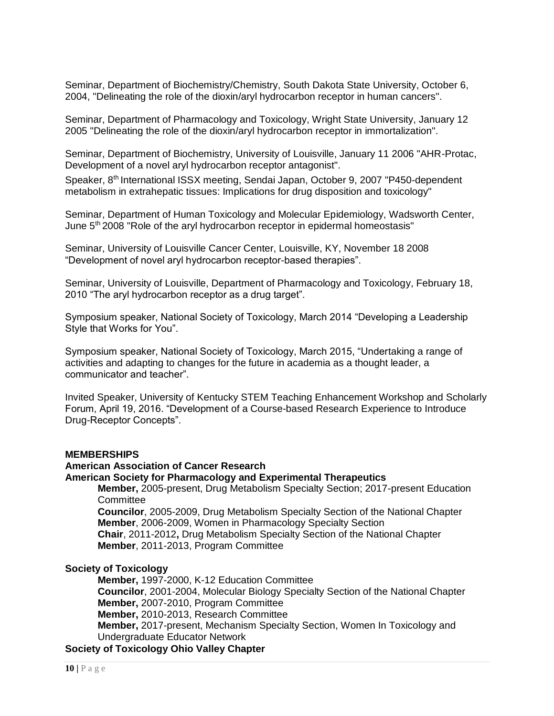Seminar, Department of Biochemistry/Chemistry, South Dakota State University, October 6, 2004, "Delineating the role of the dioxin/aryl hydrocarbon receptor in human cancers".

Seminar, Department of Pharmacology and Toxicology, Wright State University, January 12 2005 "Delineating the role of the dioxin/aryl hydrocarbon receptor in immortalization".

Seminar, Department of Biochemistry, University of Louisville, January 11 2006 "AHR-Protac, Development of a novel aryl hydrocarbon receptor antagonist".

Speaker, 8<sup>th</sup> International ISSX meeting, Sendai Japan, October 9, 2007 "P450-dependent metabolism in extrahepatic tissues: Implications for drug disposition and toxicology"

Seminar, Department of Human Toxicology and Molecular Epidemiology, Wadsworth Center, June 5th 2008 "Role of the aryl hydrocarbon receptor in epidermal homeostasis"

Seminar, University of Louisville Cancer Center, Louisville, KY, November 18 2008 "Development of novel aryl hydrocarbon receptor-based therapies".

Seminar, University of Louisville, Department of Pharmacology and Toxicology, February 18, 2010 "The aryl hydrocarbon receptor as a drug target".

Symposium speaker, National Society of Toxicology, March 2014 "Developing a Leadership Style that Works for You".

Symposium speaker, National Society of Toxicology, March 2015, "Undertaking a range of activities and adapting to changes for the future in academia as a thought leader, a communicator and teacher".

Invited Speaker, University of Kentucky STEM Teaching Enhancement Workshop and Scholarly Forum, April 19, 2016. "Development of a Course-based Research Experience to Introduce Drug-Receptor Concepts".

#### **MEMBERSHIPS**

#### **American Association of Cancer Research**

### **American Society for Pharmacology and Experimental Therapeutics**

**Member,** 2005-present, Drug Metabolism Specialty Section; 2017-present Education **Committee** 

**Councilor**, 2005-2009, Drug Metabolism Specialty Section of the National Chapter **Member**, 2006-2009, Women in Pharmacology Specialty Section

**Chair**, 2011-2012**,** Drug Metabolism Specialty Section of the National Chapter **Member**, 2011-2013, Program Committee

#### **Society of Toxicology**

**Member,** 1997-2000, K-12 Education Committee **Councilor**, 2001-2004, Molecular Biology Specialty Section of the National Chapter **Member,** 2007-2010, Program Committee **Member,** 2010-2013, Research Committee **Member,** 2017-present, Mechanism Specialty Section, Women In Toxicology and Undergraduate Educator Network

**Society of Toxicology Ohio Valley Chapter**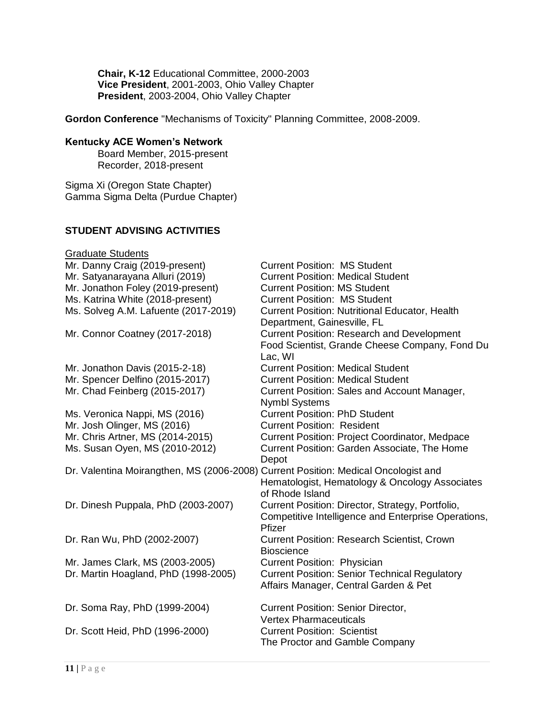**Chair, K-12** Educational Committee, 2000-2003 **Vice President**, 2001-2003, Ohio Valley Chapter **President**, 2003-2004, Ohio Valley Chapter

**Gordon Conference** "Mechanisms of Toxicity" Planning Committee, 2008-2009.

# **Kentucky ACE Women's Network**

Board Member, 2015-present Recorder, 2018-present

Sigma Xi (Oregon State Chapter) Gamma Sigma Delta (Purdue Chapter)

### **STUDENT ADVISING ACTIVITIES**

| <b>Graduate Students</b>                                                           |                                                       |
|------------------------------------------------------------------------------------|-------------------------------------------------------|
| Mr. Danny Craig (2019-present)                                                     | <b>Current Position: MS Student</b>                   |
| Mr. Satyanarayana Alluri (2019)                                                    | <b>Current Position: Medical Student</b>              |
| Mr. Jonathon Foley (2019-present)                                                  | <b>Current Position: MS Student</b>                   |
| Ms. Katrina White (2018-present)                                                   | <b>Current Position: MS Student</b>                   |
| Ms. Solveg A.M. Lafuente (2017-2019)                                               | <b>Current Position: Nutritional Educator, Health</b> |
|                                                                                    | Department, Gainesville, FL                           |
| Mr. Connor Coatney (2017-2018)                                                     | <b>Current Position: Research and Development</b>     |
|                                                                                    | Food Scientist, Grande Cheese Company, Fond Du        |
|                                                                                    | Lac, WI                                               |
| Mr. Jonathon Davis (2015-2-18)                                                     | <b>Current Position: Medical Student</b>              |
| Mr. Spencer Delfino (2015-2017)                                                    | <b>Current Position: Medical Student</b>              |
| Mr. Chad Feinberg (2015-2017)                                                      | Current Position: Sales and Account Manager,          |
|                                                                                    | <b>Nymbl Systems</b>                                  |
| Ms. Veronica Nappi, MS (2016)                                                      | <b>Current Position: PhD Student</b>                  |
| Mr. Josh Olinger, MS (2016)                                                        | <b>Current Position: Resident</b>                     |
| Mr. Chris Artner, MS (2014-2015)                                                   | <b>Current Position: Project Coordinator, Medpace</b> |
| Ms. Susan Oyen, MS (2010-2012)                                                     | <b>Current Position: Garden Associate, The Home</b>   |
|                                                                                    | Depot                                                 |
| Dr. Valentina Moirangthen, MS (2006-2008) Current Position: Medical Oncologist and |                                                       |
|                                                                                    | Hematologist, Hematology & Oncology Associates        |
|                                                                                    | of Rhode Island                                       |
| Dr. Dinesh Puppala, PhD (2003-2007)                                                | Current Position: Director, Strategy, Portfolio,      |
|                                                                                    | Competitive Intelligence and Enterprise Operations,   |
|                                                                                    | Pfizer                                                |
| Dr. Ran Wu, PhD (2002-2007)                                                        | <b>Current Position: Research Scientist, Crown</b>    |
|                                                                                    | <b>Bioscience</b>                                     |
| Mr. James Clark, MS (2003-2005)                                                    | <b>Current Position: Physician</b>                    |
| Dr. Martin Hoagland, PhD (1998-2005)                                               | <b>Current Position: Senior Technical Regulatory</b>  |
|                                                                                    | Affairs Manager, Central Garden & Pet                 |
| Dr. Soma Ray, PhD (1999-2004)                                                      | <b>Current Position: Senior Director,</b>             |
|                                                                                    | <b>Vertex Pharmaceuticals</b>                         |
| Dr. Scott Heid, PhD (1996-2000)                                                    | <b>Current Position: Scientist</b>                    |
|                                                                                    | The Proctor and Gamble Company                        |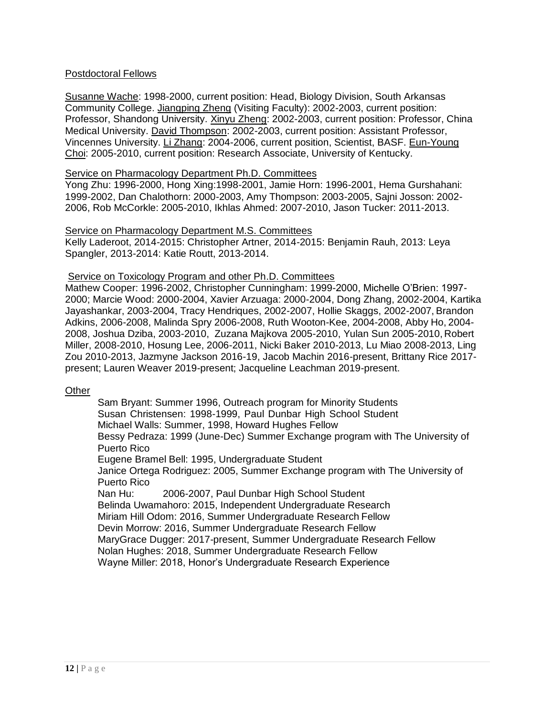# Postdoctoral Fellows

Susanne Wache: 1998-2000, current position: Head, Biology Division, South Arkansas Community College. Jiangping Zheng (Visiting Faculty): 2002-2003, current position: Professor, Shandong University. Xinyu Zheng: 2002-2003, current position: Professor, China Medical University. David Thompson: 2002-2003, current position: Assistant Professor, Vincennes University. Li Zhang: 2004-2006, current position, Scientist, BASF. Eun-Young Choi: 2005-2010, current position: Research Associate, University of Kentucky.

#### Service on Pharmacology Department Ph.D. Committees

Yong Zhu: 1996-2000, Hong Xing:1998-2001, Jamie Horn: 1996-2001, Hema Gurshahani: 1999-2002, Dan Chalothorn: 2000-2003, Amy Thompson: 2003-2005, Sajni Josson: 2002- 2006, Rob McCorkle: 2005-2010, Ikhlas Ahmed: 2007-2010, Jason Tucker: 2011-2013.

#### Service on Pharmacology Department M.S. Committees

Kelly Laderoot, 2014-2015: Christopher Artner, 2014-2015: Benjamin Rauh, 2013: Leya Spangler, 2013-2014: Katie Routt, 2013-2014.

#### Service on Toxicology Program and other Ph.D. Committees

Mathew Cooper: 1996-2002, Christopher Cunningham: 1999-2000, Michelle O'Brien: 1997- 2000; Marcie Wood: 2000-2004, Xavier Arzuaga: 2000-2004, Dong Zhang, 2002-2004, Kartika Jayashankar, 2003-2004, Tracy Hendriques, 2002-2007, Hollie Skaggs, 2002-2007, Brandon Adkins, 2006-2008, Malinda Spry 2006-2008, Ruth Wooton-Kee, 2004-2008, Abby Ho, 2004- 2008, Joshua Dziba, 2003-2010, Zuzana Majkova 2005-2010, Yulan Sun 2005-2010, Robert Miller, 2008-2010, Hosung Lee, 2006-2011, Nicki Baker 2010-2013, Lu Miao 2008-2013, Ling Zou 2010-2013, Jazmyne Jackson 2016-19, Jacob Machin 2016-present, Brittany Rice 2017 present; Lauren Weaver 2019-present; Jacqueline Leachman 2019-present.

#### **Other**

Sam Bryant: Summer 1996, Outreach program for Minority Students Susan Christensen: 1998-1999, Paul Dunbar High School Student Michael Walls: Summer, 1998, Howard Hughes Fellow Bessy Pedraza: 1999 (June-Dec) Summer Exchange program with The University of Puerto Rico Eugene Bramel Bell: 1995, Undergraduate Student Janice Ortega Rodriguez: 2005, Summer Exchange program with The University of Puerto Rico Nan Hu: 2006-2007, Paul Dunbar High School Student Belinda Uwamahoro: 2015, Independent Undergraduate Research Miriam Hill Odom: 2016, Summer Undergraduate Research Fellow Devin Morrow: 2016, Summer Undergraduate Research Fellow MaryGrace Dugger: 2017-present, Summer Undergraduate Research Fellow Nolan Hughes: 2018, Summer Undergraduate Research Fellow Wayne Miller: 2018, Honor's Undergraduate Research Experience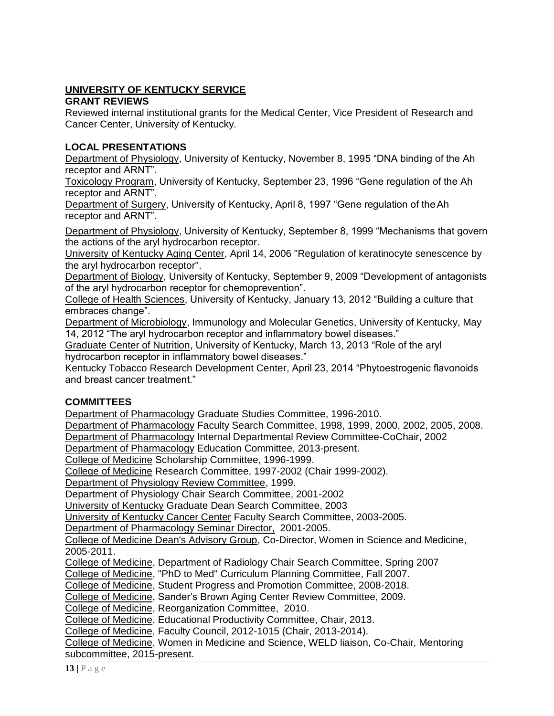# **UNIVERSITY OF KENTUCKY SERVICE**

# **GRANT REVIEWS**

Reviewed internal institutional grants for the Medical Center, Vice President of Research and Cancer Center, University of Kentucky.

# **LOCAL PRESENTATIONS**

Department of Physiology, University of Kentucky, November 8, 1995 "DNA binding of the Ah receptor and ARNT".

Toxicology Program, University of Kentucky, September 23, 1996 "Gene regulation of the Ah receptor and ARNT".

Department of Surgery, University of Kentucky, April 8, 1997 "Gene regulation of theAh receptor and ARNT".

Department of Physiology, University of Kentucky, September 8, 1999 "Mechanisms that govern the actions of the aryl hydrocarbon receptor.

University of Kentucky Aging Center, April 14, 2006 "Regulation of keratinocyte senescence by the aryl hydrocarbon receptor".

Department of Biology, University of Kentucky, September 9, 2009 "Development of antagonists of the aryl hydrocarbon receptor for chemoprevention".

College of Health Sciences, University of Kentucky, January 13, 2012 "Building a culture that embraces change".

Department of Microbiology, Immunology and Molecular Genetics, University of Kentucky, May 14, 2012 "The aryl hydrocarbon receptor and inflammatory bowel diseases."

Graduate Center of Nutrition, University of Kentucky, March 13, 2013 "Role of the aryl hydrocarbon receptor in inflammatory bowel diseases."

Kentucky Tobacco Research Development Center, April 23, 2014 "Phytoestrogenic flavonoids and breast cancer treatment."

# **COMMITTEES**

Department of Pharmacology Graduate Studies Committee, 1996-2010.

Department of Pharmacology Faculty Search Committee, 1998, 1999, 2000, 2002, 2005, 2008.

Department of Pharmacology Internal Departmental Review Committee-CoChair, 2002

Department of Pharmacology Education Committee, 2013-present.

College of Medicine Scholarship Committee, 1996-1999.

College of Medicine Research Committee, 1997-2002 (Chair 1999-2002).

Department of Physiology Review Committee, 1999.

Department of Physiology Chair Search Committee, 2001-2002

University of Kentucky Graduate Dean Search Committee, 2003

University of Kentucky Cancer Center Faculty Search Committee, 2003-2005.

Department of Pharmacology Seminar Director, 2001-2005.

College of Medicine Dean's Advisory Group, Co-Director, Women in Science and Medicine, 2005-2011.

College of Medicine, Department of Radiology Chair Search Committee, Spring 2007

College of Medicine, "PhD to Med" Curriculum Planning Committee, Fall 2007.

College of Medicine, Student Progress and Promotion Committee, 2008-2018.

College of Medicine, Sander's Brown Aging Center Review Committee, 2009.

College of Medicine, Reorganization Committee, 2010.

College of Medicine, Educational Productivity Committee, Chair, 2013.

College of Medicine, Faculty Council, 2012-1015 (Chair, 2013-2014).

College of Medicine, Women in Medicine and Science, WELD liaison, Co-Chair, Mentoring subcommittee, 2015-present.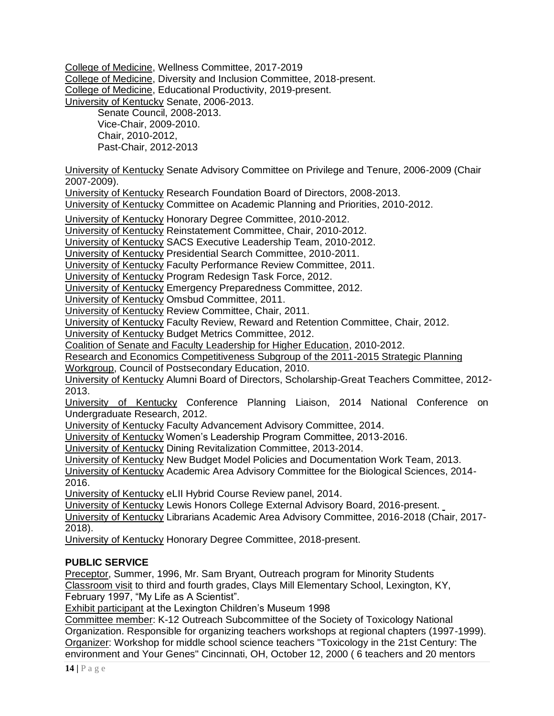College of Medicine, Wellness Committee, 2017-2019 College of Medicine, Diversity and Inclusion Committee, 2018-present. College of Medicine, Educational Productivity, 2019-present. University of Kentucky Senate, 2006-2013.

Senate Council, 2008-2013. Vice-Chair, 2009-2010. Chair, 2010-2012, Past-Chair, 2012-2013

University of Kentucky Senate Advisory Committee on Privilege and Tenure, 2006-2009 (Chair 2007-2009).

University of Kentucky Research Foundation Board of Directors, 2008-2013.

University of Kentucky Committee on Academic Planning and Priorities, 2010-2012.

University of Kentucky Honorary Degree Committee, 2010-2012.

University of Kentucky Reinstatement Committee, Chair, 2010-2012.

University of Kentucky SACS Executive Leadership Team, 2010-2012.

University of Kentucky Presidential Search Committee, 2010-2011.

University of Kentucky Faculty Performance Review Committee, 2011.

University of Kentucky Program Redesign Task Force, 2012.

University of Kentucky Emergency Preparedness Committee, 2012.

University of Kentucky Omsbud Committee, 2011.

University of Kentucky Review Committee, Chair, 2011.

University of Kentucky Faculty Review, Reward and Retention Committee, Chair, 2012.

University of Kentucky Budget Metrics Committee, 2012.

Coalition of Senate and Faculty Leadership for Higher Education, 2010-2012.

Research and Economics Competitiveness Subgroup of the 2011-2015 Strategic Planning

Workgroup, Council of Postsecondary Education, 2010.

University of Kentucky Alumni Board of Directors, Scholarship-Great Teachers Committee, 2012- 2013.

University of Kentucky Conference Planning Liaison, 2014 National Conference on Undergraduate Research, 2012.

University of Kentucky Faculty Advancement Advisory Committee, 2014.

University of Kentucky Women's Leadership Program Committee, 2013-2016.

University of Kentucky Dining Revitalization Committee, 2013-2014.

University of Kentucky New Budget Model Policies and Documentation Work Team, 2013.

University of Kentucky Academic Area Advisory Committee for the Biological Sciences, 2014- 2016.

University of Kentucky eLII Hybrid Course Review panel, 2014.

University of Kentucky Lewis Honors College External Advisory Board, 2016-present.

University of Kentucky Librarians Academic Area Advisory Committee, 2016-2018 (Chair, 2017- 2018).

University of Kentucky Honorary Degree Committee, 2018-present.

# **PUBLIC SERVICE**

Preceptor, Summer, 1996, Mr. Sam Bryant, Outreach program for Minority Students Classroom visit to third and fourth grades, Clays Mill Elementary School, Lexington, KY, February 1997, "My Life as A Scientist".

Exhibit participant at the Lexington Children's Museum 1998

Committee member: K-12 Outreach Subcommittee of the Society of Toxicology National Organization. Responsible for organizing teachers workshops at regional chapters (1997-1999). Organizer: Workshop for middle school science teachers "Toxicology in the 21st Century: The environment and Your Genes" Cincinnati, OH, October 12, 2000 ( 6 teachers and 20 mentors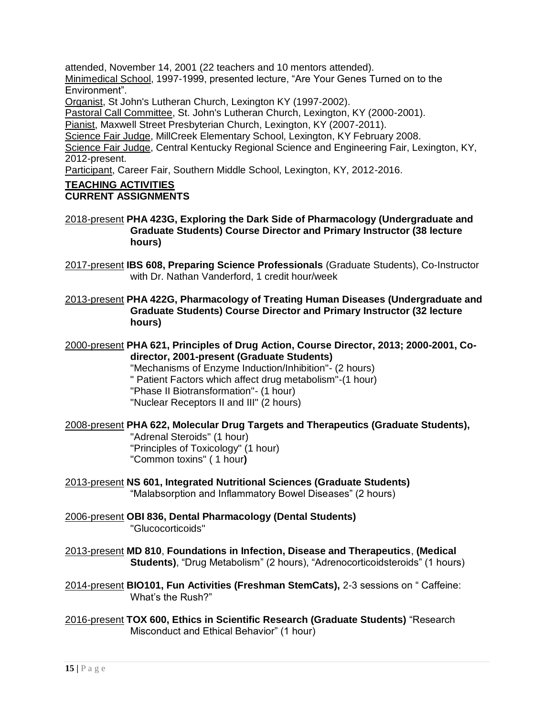attended, November 14, 2001 (22 teachers and 10 mentors attended).

Minimedical School, 1997-1999, presented lecture, "Are Your Genes Turned on to the Environment".

Organist, St John's Lutheran Church, Lexington KY (1997-2002).

Pastoral Call Committee, St. John's Lutheran Church, Lexington, KY (2000-2001).

Pianist, Maxwell Street Presbyterian Church, Lexington, KY (2007-2011).

Science Fair Judge, MillCreek Elementary School, Lexington, KY February 2008.

Science Fair Judge, Central Kentucky Regional Science and Engineering Fair, Lexington, KY, 2012-present.

Participant, Career Fair, Southern Middle School, Lexington, KY, 2012-2016.

# **TEACHING ACTIVITIES**

#### **CURRENT ASSIGNMENTS**

### 2018-present **PHA 423G, Exploring the Dark Side of Pharmacology (Undergraduate and Graduate Students) Course Director and Primary Instructor (38 lecture hours)**

2017-present **IBS 608, Preparing Science Professionals** (Graduate Students), Co-Instructor with Dr. Nathan Vanderford, 1 credit hour/week

2013-present **PHA 422G, Pharmacology of Treating Human Diseases (Undergraduate and Graduate Students) Course Director and Primary Instructor (32 lecture hours)**

### 2000-present **PHA 621, Principles of Drug Action, Course Director, 2013; 2000-2001, Codirector, 2001-present (Graduate Students)**

"Mechanisms of Enzyme Induction/Inhibition"- (2 hours)

- " Patient Factors which affect drug metabolism"-(1 hour)
- "Phase II Biotransformation"- (1 hour)
- "Nuclear Receptors II and III" (2 hours)

# 2008-present **PHA 622, Molecular Drug Targets and Therapeutics (Graduate Students),**

"Adrenal Steroids" (1 hour) "Principles of Toxicology" (1 hour) "Common toxins" ( 1 hour**)**

2013-present **NS 601, Integrated Nutritional Sciences (Graduate Students)** "Malabsorption and Inflammatory Bowel Diseases" (2 hours)

2006-present **OBI 836, Dental Pharmacology (Dental Students)** "Glucocorticoids"

- 2013-present **MD 810**, **Foundations in Infection, Disease and Therapeutics**, **(Medical Students)**, "Drug Metabolism" (2 hours), "Adrenocorticoidsteroids" (1 hours)
- 2014-present **BIO101, Fun Activities (Freshman StemCats),** 2-3 sessions on " Caffeine: What's the Rush?"
- 2016-present **TOX 600, Ethics in Scientific Research (Graduate Students)** "Research Misconduct and Ethical Behavior" (1 hour)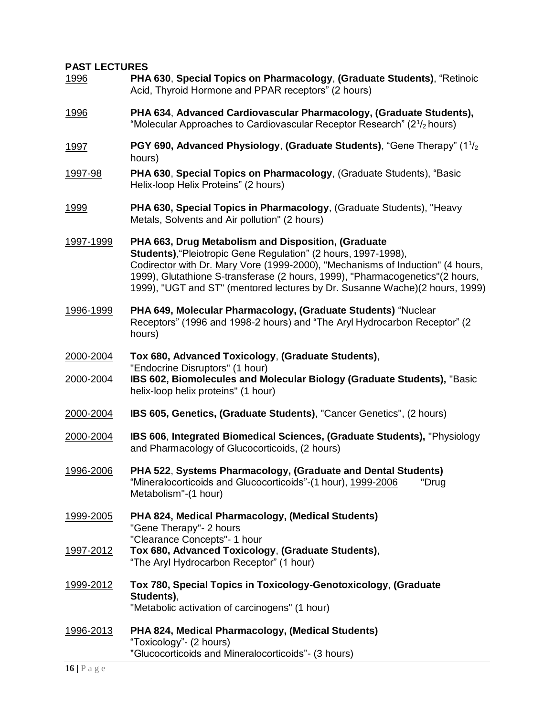# **PAST LECTURES**

| <u>1996</u>      | PHA 630, Special Topics on Pharmacology, (Graduate Students), "Retinoic<br>Acid, Thyroid Hormone and PPAR receptors" (2 hours)                                                                                                                                                                                                                                           |
|------------------|--------------------------------------------------------------------------------------------------------------------------------------------------------------------------------------------------------------------------------------------------------------------------------------------------------------------------------------------------------------------------|
| <u>1996</u>      | PHA 634, Advanced Cardiovascular Pharmacology, (Graduate Students),<br>"Molecular Approaches to Cardiovascular Receptor Research" ( $2^{1/2}$ hours)                                                                                                                                                                                                                     |
| <u>1997</u>      | PGY 690, Advanced Physiology, (Graduate Students), "Gene Therapy" $(11/2$<br>hours)                                                                                                                                                                                                                                                                                      |
| <u>1997-98</u>   | PHA 630, Special Topics on Pharmacology, (Graduate Students), "Basic<br>Helix-loop Helix Proteins" (2 hours)                                                                                                                                                                                                                                                             |
| 1999             | PHA 630, Special Topics in Pharmacology, (Graduate Students), "Heavy<br>Metals, Solvents and Air pollution" (2 hours)                                                                                                                                                                                                                                                    |
| 1997-1999        | PHA 663, Drug Metabolism and Disposition, (Graduate<br>Students), "Pleiotropic Gene Regulation" (2 hours, 1997-1998),<br>Codirector with Dr. Mary Vore (1999-2000), "Mechanisms of Induction" (4 hours,<br>1999), Glutathione S-transferase (2 hours, 1999), "Pharmacogenetics" (2 hours,<br>1999), "UGT and ST" (mentored lectures by Dr. Susanne Wache)(2 hours, 1999) |
| 1996-1999        | PHA 649, Molecular Pharmacology, (Graduate Students) "Nuclear<br>Receptors" (1996 and 1998-2 hours) and "The Aryl Hydrocarbon Receptor" (2<br>hours)                                                                                                                                                                                                                     |
| 2000-2004        | Tox 680, Advanced Toxicology, (Graduate Students),<br>"Endocrine Disruptors" (1 hour)                                                                                                                                                                                                                                                                                    |
| 2000-2004        | IBS 602, Biomolecules and Molecular Biology (Graduate Students), "Basic<br>helix-loop helix proteins" (1 hour)                                                                                                                                                                                                                                                           |
| 2000-2004        | IBS 605, Genetics, (Graduate Students), "Cancer Genetics", (2 hours)                                                                                                                                                                                                                                                                                                     |
| 2000-2004        | <b>IBS 606, Integrated Biomedical Sciences, (Graduate Students), "Physiology</b><br>and Pharmacology of Glucocorticoids, (2 hours)                                                                                                                                                                                                                                       |
| 1996-2006        | PHA 522, Systems Pharmacology, (Graduate and Dental Students)<br>"Mineralocorticoids and Glucocorticoids"-(1 hour), 1999-2006<br>"Drug<br>Metabolism"-(1 hour)                                                                                                                                                                                                           |
| 1999-2005        | PHA 824, Medical Pharmacology, (Medical Students)<br>"Gene Therapy"- 2 hours                                                                                                                                                                                                                                                                                             |
| 1997-2012        | "Clearance Concepts"- 1 hour<br>Tox 680, Advanced Toxicology, (Graduate Students),<br>"The Aryl Hydrocarbon Receptor" (1 hour)                                                                                                                                                                                                                                           |
| <u>1999-2012</u> | Tox 780, Special Topics in Toxicology-Genotoxicology, (Graduate<br>Students),<br>"Metabolic activation of carcinogens" (1 hour)                                                                                                                                                                                                                                          |
| 1996-2013        | PHA 824, Medical Pharmacology, (Medical Students)<br>"Toxicology" - (2 hours)<br>"Glucocorticoids and Mineralocorticoids"- (3 hours)                                                                                                                                                                                                                                     |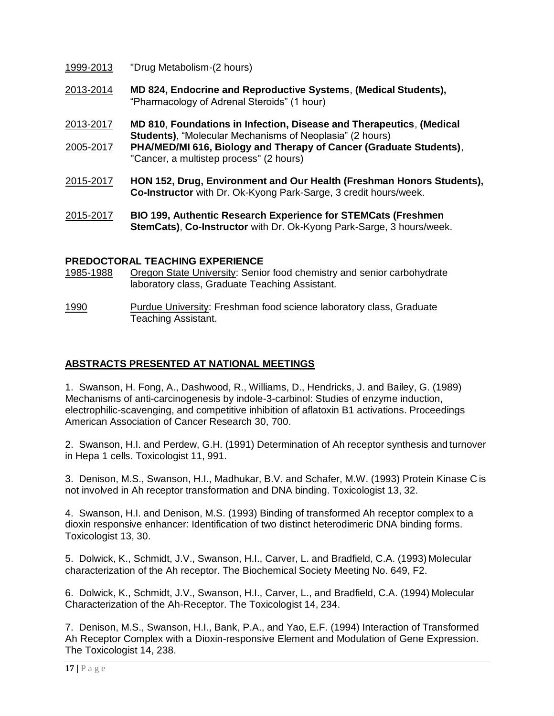1999-2013 "Drug Metabolism-(2 hours)

- 2013-2014 **MD 824, Endocrine and Reproductive Systems**, **(Medical Students),** "Pharmacology of Adrenal Steroids" (1 hour)
- 2013-2017 **MD 810**, **Foundations in Infection, Disease and Therapeutics**, **(Medical Students)**, "Molecular Mechanisms of Neoplasia" (2 hours)
- 2005-2017 **PHA/MED/MI 616, Biology and Therapy of Cancer (Graduate Students)**, "Cancer, a multistep process" (2 hours)
- 2015-2017 **HON 152, Drug, Environment and Our Health (Freshman Honors Students), Co-Instructor** with Dr. Ok-Kyong Park-Sarge, 3 credit hours/week.
- 2015-2017 **BIO 199, Authentic Research Experience for STEMCats (Freshmen StemCats)**, **Co-Instructor** with Dr. Ok-Kyong Park-Sarge, 3 hours/week.

# **PREDOCTORAL TEACHING EXPERIENCE**

1985-1988 Oregon State University: Senior food chemistry and senior carbohydrate laboratory class, Graduate Teaching Assistant.

1990 Purdue University: Freshman food science laboratory class, Graduate Teaching Assistant.

# **ABSTRACTS PRESENTED AT NATIONAL MEETINGS**

1. Swanson, H. Fong, A., Dashwood, R., Williams, D., Hendricks, J. and Bailey, G. (1989) Mechanisms of anti-carcinogenesis by indole-3-carbinol: Studies of enzyme induction, electrophilic-scavenging, and competitive inhibition of aflatoxin B1 activations. Proceedings American Association of Cancer Research 30, 700.

2. Swanson, H.I. and Perdew, G.H. (1991) Determination of Ah receptor synthesis and turnover in Hepa 1 cells. Toxicologist 11, 991.

3. Denison, M.S., Swanson, H.I., Madhukar, B.V. and Schafer, M.W. (1993) Protein Kinase C is not involved in Ah receptor transformation and DNA binding. Toxicologist 13, 32.

4. Swanson, H.I. and Denison, M.S. (1993) Binding of transformed Ah receptor complex to a dioxin responsive enhancer: Identification of two distinct heterodimeric DNA binding forms. Toxicologist 13, 30.

5. Dolwick, K., Schmidt, J.V., Swanson, H.I., Carver, L. and Bradfield, C.A. (1993) Molecular characterization of the Ah receptor. The Biochemical Society Meeting No. 649, F2.

6. Dolwick, K., Schmidt, J.V., Swanson, H.I., Carver, L., and Bradfield, C.A. (1994) Molecular Characterization of the Ah-Receptor. The Toxicologist 14, 234.

7. Denison, M.S., Swanson, H.I., Bank, P.A., and Yao, E.F. (1994) Interaction of Transformed Ah Receptor Complex with a Dioxin-responsive Element and Modulation of Gene Expression. The Toxicologist 14, 238.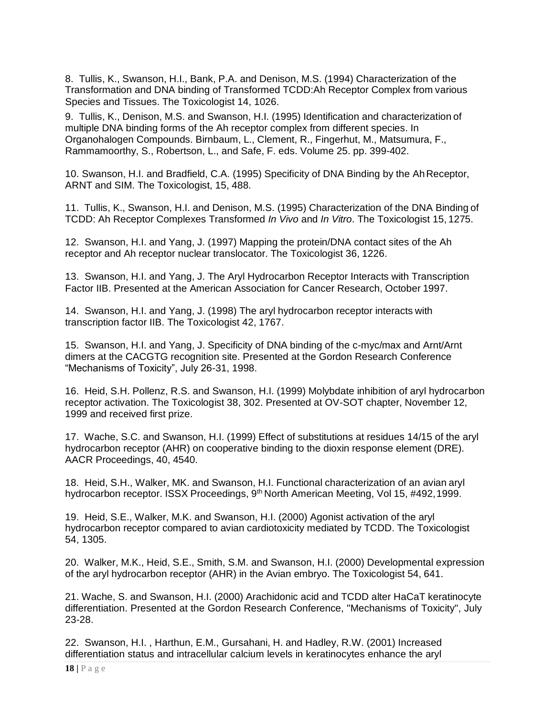8. Tullis, K., Swanson, H.I., Bank, P.A. and Denison, M.S. (1994) Characterization of the Transformation and DNA binding of Transformed TCDD:Ah Receptor Complex from various Species and Tissues. The Toxicologist 14, 1026.

9. Tullis, K., Denison, M.S. and Swanson, H.I. (1995) Identification and characterization of multiple DNA binding forms of the Ah receptor complex from different species. In Organohalogen Compounds. Birnbaum, L., Clement, R., Fingerhut, M., Matsumura, F., Rammamoorthy, S., Robertson, L., and Safe, F. eds. Volume 25. pp. 399-402.

10. Swanson, H.I. and Bradfield, C.A. (1995) Specificity of DNA Binding by the AhReceptor, ARNT and SIM. The Toxicologist, 15, 488.

11. Tullis, K., Swanson, H.I. and Denison, M.S. (1995) Characterization of the DNA Binding of TCDD: Ah Receptor Complexes Transformed *In Vivo* and *In Vitro*. The Toxicologist 15, 1275.

12. Swanson, H.I. and Yang, J. (1997) Mapping the protein/DNA contact sites of the Ah receptor and Ah receptor nuclear translocator. The Toxicologist 36, 1226.

13. Swanson, H.I. and Yang, J. The Aryl Hydrocarbon Receptor Interacts with Transcription Factor IIB. Presented at the American Association for Cancer Research, October 1997.

14. Swanson, H.I. and Yang, J. (1998) The aryl hydrocarbon receptor interacts with transcription factor IIB. The Toxicologist 42, 1767.

15. Swanson, H.I. and Yang, J. Specificity of DNA binding of the c-myc/max and Arnt/Arnt dimers at the CACGTG recognition site. Presented at the Gordon Research Conference "Mechanisms of Toxicity", July 26-31, 1998.

16. Heid, S.H. Pollenz, R.S. and Swanson, H.I. (1999) Molybdate inhibition of aryl hydrocarbon receptor activation. The Toxicologist 38, 302. Presented at OV-SOT chapter, November 12, 1999 and received first prize.

17. Wache, S.C. and Swanson, H.I. (1999) Effect of substitutions at residues 14/15 of the aryl hydrocarbon receptor (AHR) on cooperative binding to the dioxin response element (DRE). AACR Proceedings, 40, 4540.

18. Heid, S.H., Walker, MK. and Swanson, H.I. Functional characterization of an avian aryl hydrocarbon receptor. ISSX Proceedings, 9<sup>th</sup> North American Meeting, Vol 15, #492, 1999.

19. Heid, S.E., Walker, M.K. and Swanson, H.I. (2000) Agonist activation of the aryl hydrocarbon receptor compared to avian cardiotoxicity mediated by TCDD. The Toxicologist 54, 1305.

20. Walker, M.K., Heid, S.E., Smith, S.M. and Swanson, H.I. (2000) Developmental expression of the aryl hydrocarbon receptor (AHR) in the Avian embryo. The Toxicologist 54, 641.

21. Wache, S. and Swanson, H.I. (2000) Arachidonic acid and TCDD alter HaCaT keratinocyte differentiation. Presented at the Gordon Research Conference, "Mechanisms of Toxicity", July 23-28.

22. Swanson, H.I. , Harthun, E.M., Gursahani, H. and Hadley, R.W. (2001) Increased differentiation status and intracellular calcium levels in keratinocytes enhance the aryl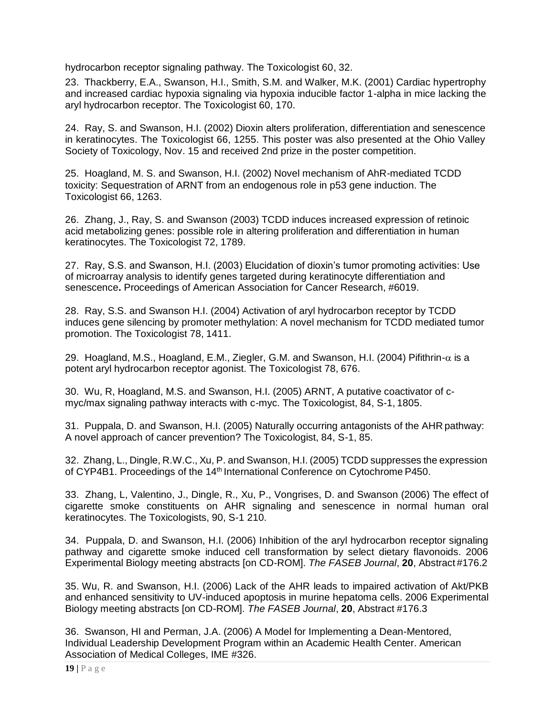hydrocarbon receptor signaling pathway. The Toxicologist 60, 32.

23. Thackberry, E.A., Swanson, H.I., Smith, S.M. and Walker, M.K. (2001) Cardiac hypertrophy and increased cardiac hypoxia signaling via hypoxia inducible factor 1-alpha in mice lacking the aryl hydrocarbon receptor. The Toxicologist 60, 170.

24. Ray, S. and Swanson, H.I. (2002) Dioxin alters proliferation, differentiation and senescence in keratinocytes. The Toxicologist 66, 1255. This poster was also presented at the Ohio Valley Society of Toxicology, Nov. 15 and received 2nd prize in the poster competition.

25. Hoagland, M. S. and Swanson, H.I. (2002) Novel mechanism of AhR-mediated TCDD toxicity: Sequestration of ARNT from an endogenous role in p53 gene induction. The Toxicologist 66, 1263.

26. Zhang, J., Ray, S. and Swanson (2003) TCDD induces increased expression of retinoic acid metabolizing genes: possible role in altering proliferation and differentiation in human keratinocytes. The Toxicologist 72, 1789.

27. Ray, S.S. and Swanson, H.I. (2003) Elucidation of dioxin's tumor promoting activities: Use of microarray analysis to identify genes targeted during keratinocyte differentiation and senescence**.** Proceedings of American Association for Cancer Research, #6019.

28. Ray, S.S. and Swanson H.I. (2004) Activation of aryl hydrocarbon receptor by TCDD induces gene silencing by promoter methylation: A novel mechanism for TCDD mediated tumor promotion. The Toxicologist 78, 1411.

29. Hoagland, M.S., Hoagland, E.M., Ziegler, G.M. and Swanson, H.I. (2004) Pifithrin- $\alpha$  is a potent aryl hydrocarbon receptor agonist. The Toxicologist 78, 676.

30. Wu, R, Hoagland, M.S. and Swanson, H.I. (2005) ARNT, A putative coactivator of cmyc/max signaling pathway interacts with c-myc. The Toxicologist, 84, S-1, 1805.

31. Puppala, D. and Swanson, H.I. (2005) Naturally occurring antagonists of the AHR pathway: A novel approach of cancer prevention? The Toxicologist, 84, S-1, 85.

32. Zhang, L., Dingle, R.W.C., Xu, P. and Swanson, H.I. (2005) TCDD suppresses the expression of CYP4B1. Proceedings of the 14th International Conference on Cytochrome P450.

33. Zhang, L, Valentino, J., Dingle, R., Xu, P., Vongrises, D. and Swanson (2006) The effect of cigarette smoke constituents on AHR signaling and senescence in normal human oral keratinocytes. The Toxicologists, 90, S-1 210.

34. Puppala, D. and Swanson, H.I. (2006) Inhibition of the aryl hydrocarbon receptor signaling pathway and cigarette smoke induced cell transformation by select dietary flavonoids. 2006 Experimental Biology meeting abstracts [on CD-ROM]. *The FASEB Journal*, **20**, Abstract #176.2

35. Wu, R. and Swanson, H.I. (2006) Lack of the AHR leads to impaired activation of Akt/PKB and enhanced sensitivity to UV-induced apoptosis in murine hepatoma cells. 2006 Experimental Biology meeting abstracts [on CD-ROM]. *The FASEB Journal*, **20**, Abstract #176.3

36. Swanson, HI and Perman, J.A. (2006) A Model for Implementing a Dean-Mentored, Individual Leadership Development Program within an Academic Health Center. American Association of Medical Colleges, IME #326.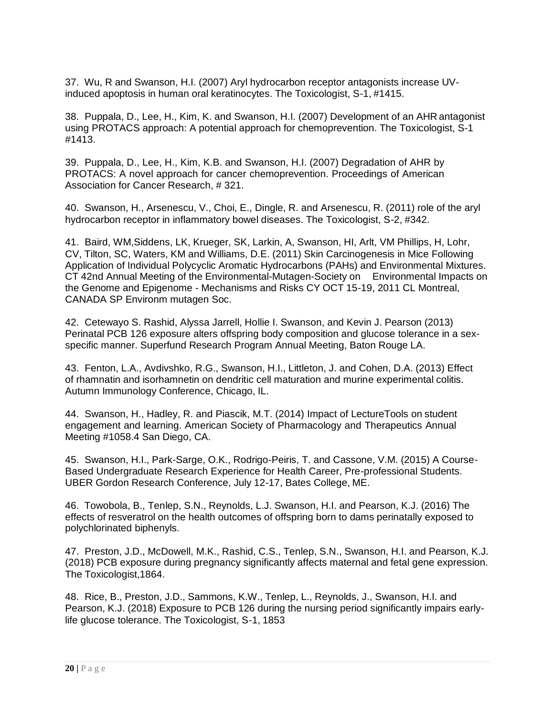37. Wu, R and Swanson, H.I. (2007) Aryl hydrocarbon receptor antagonists increase UVinduced apoptosis in human oral keratinocytes. The Toxicologist, S-1, #1415.

38. Puppala, D., Lee, H., Kim, K. and Swanson, H.I. (2007) Development of an AHR antagonist using PROTACS approach: A potential approach for chemoprevention. The Toxicologist, S-1 #1413.

39. Puppala, D., Lee, H., Kim, K.B. and Swanson, H.I. (2007) Degradation of AHR by PROTACS: A novel approach for cancer chemoprevention. Proceedings of American Association for Cancer Research, # 321.

40. Swanson, H., Arsenescu, V., Choi, E., Dingle, R. and Arsenescu, R. (2011) role of the aryl hydrocarbon receptor in inflammatory bowel diseases. The Toxicologist, S-2, #342.

41. Baird, WM,Siddens, LK, Krueger, SK, Larkin, A, Swanson, HI, Arlt, VM Phillips, H, Lohr, CV, Tilton, SC, Waters, KM and Williams, D.E. (2011) Skin Carcinogenesis in Mice Following Application of Individual Polycyclic Aromatic Hydrocarbons (PAHs) and Environmental Mixtures. CT 42nd Annual Meeting of the Environmental-Mutagen-Society on Environmental Impacts on the Genome and Epigenome - Mechanisms and Risks CY OCT 15-19, 2011 CL Montreal, CANADA SP Environm mutagen Soc.

42. Cetewayo S. Rashid, Alyssa Jarrell, Hollie I. Swanson, and Kevin J. Pearson (2013) Perinatal PCB 126 exposure alters offspring body composition and glucose tolerance in a sexspecific manner. Superfund Research Program Annual Meeting, Baton Rouge LA.

43. Fenton, L.A., Avdivshko, R.G., Swanson, H.I., Littleton, J. and Cohen, D.A. (2013) Effect of rhamnatin and isorhamnetin on dendritic cell maturation and murine experimental colitis. Autumn Immunology Conference, Chicago, IL.

44. Swanson, H., Hadley, R. and Piascik, M.T. (2014) Impact of LectureTools on student engagement and learning. American Society of Pharmacology and Therapeutics Annual Meeting #1058.4 San Diego, CA.

45. Swanson, H.I., Park-Sarge, O.K., Rodrigo-Peiris, T. and Cassone, V.M. (2015) A Course-Based Undergraduate Research Experience for Health Career, Pre-professional Students. UBER Gordon Research Conference, July 12-17, Bates College, ME.

46. Towobola, B., Tenlep, S.N., Reynolds, L.J. Swanson, H.I. and Pearson, K.J. (2016) The effects of resveratrol on the health outcomes of offspring born to dams perinatally exposed to polychlorinated biphenyls.

47. Preston, J.D., McDowell, M.K., Rashid, C.S., Tenlep, S.N., Swanson, H.I. and Pearson, K.J. (2018) PCB exposure during pregnancy significantly affects maternal and fetal gene expression. The Toxicologist,1864.

48. Rice, B., Preston, J.D., Sammons, K.W., Tenlep, L., Reynolds, J., Swanson, H.I. and Pearson, K.J. (2018) Exposure to PCB 126 during the nursing period significantly impairs earlylife glucose tolerance. The Toxicologist, S-1, 1853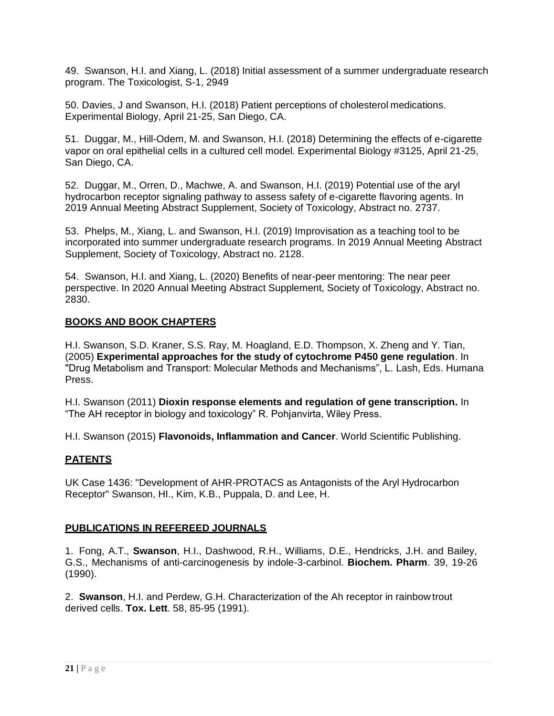49. Swanson, H.I. and Xiang, L. (2018) Initial assessment of a summer undergraduate research program. The Toxicologist, S-1, 2949

50. Davies, J and Swanson, H.I. (2018) Patient perceptions of cholesterol medications. Experimental Biology, April 21-25, San Diego, CA.

51. Duggar, M., Hill-Odem, M. and Swanson, H.I. (2018) Determining the effects of e-cigarette vapor on oral epithelial cells in a cultured cell model. Experimental Biology #3125, April 21-25, San Diego, CA.

52. Duggar, M., Orren, D., Machwe, A. and Swanson, H.I. (2019) Potential use of the aryl hydrocarbon receptor signaling pathway to assess safety of e-cigarette flavoring agents. In 2019 Annual Meeting Abstract Supplement, Society of Toxicology, Abstract no. 2737.

53. Phelps, M., Xiang, L. and Swanson, H.I. (2019) Improvisation as a teaching tool to be incorporated into summer undergraduate research programs. In 2019 Annual Meeting Abstract Supplement, Society of Toxicology, Abstract no. 2128.

54. Swanson, H.I. and Xiang, L. (2020) Benefits of near-peer mentoring: The near peer perspective. In 2020 Annual Meeting Abstract Supplement, Society of Toxicology, Abstract no. 2830.

# **BOOKS AND BOOK CHAPTERS**

H.I. Swanson, S.D. Kraner, S.S. Ray, M. Hoagland, E.D. Thompson, X. Zheng and Y. Tian, (2005) **Experimental approaches for the study of cytochrome P450 gene regulation**. In "Drug Metabolism and Transport: Molecular Methods and Mechanisms", L. Lash, Eds. Humana Press.

H.I. Swanson (2011) **Dioxin response elements and regulation of gene transcription.** In "The AH receptor in biology and toxicology" R. Pohjanvirta, Wiley Press.

H.I. Swanson (2015) **Flavonoids, Inflammation and Cancer**. World Scientific Publishing.

# **PATENTS**

UK Case 1436: "Development of AHR-PROTACS as Antagonists of the Aryl Hydrocarbon Receptor" Swanson, HI., Kim, K.B., Puppala, D. and Lee, H.

# **PUBLICATIONS IN REFEREED JOURNALS**

1. Fong, A.T., **Swanson**, H.I., Dashwood, R.H., Williams, D.E., Hendricks, J.H. and Bailey, G.S., Mechanisms of anti-carcinogenesis by indole-3-carbinol. **Biochem. Pharm**. 39, 19-26 (1990).

2. **Swanson**, H.I. and Perdew, G.H. Characterization of the Ah receptor in rainbow trout derived cells. **Tox. Lett**. 58, 85-95 (1991).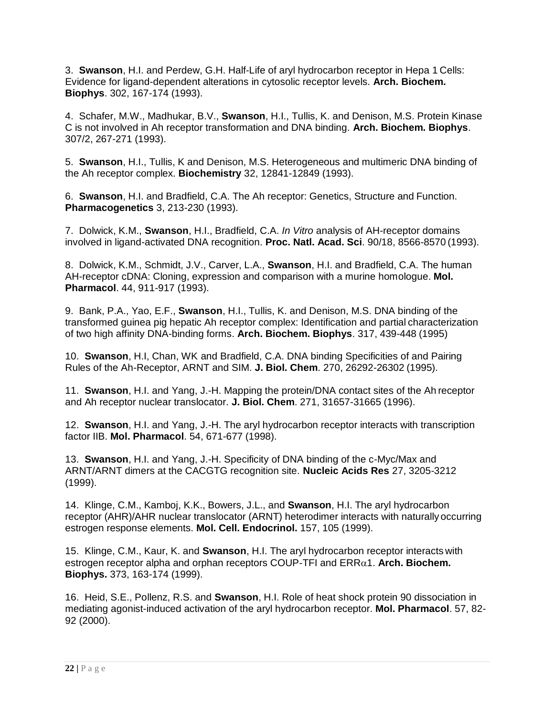3. **Swanson**, H.I. and Perdew, G.H. Half-Life of aryl hydrocarbon receptor in Hepa 1 Cells: Evidence for ligand-dependent alterations in cytosolic receptor levels. **Arch. Biochem. Biophys**. 302, 167-174 (1993).

4. Schafer, M.W., Madhukar, B.V., **Swanson**, H.I., Tullis, K. and Denison, M.S. Protein Kinase C is not involved in Ah receptor transformation and DNA binding. **Arch. Biochem. Biophys**. 307/2, 267-271 (1993).

5. **Swanson**, H.I., Tullis, K and Denison, M.S. Heterogeneous and multimeric DNA binding of the Ah receptor complex. **Biochemistry** 32, 12841-12849 (1993).

6. **Swanson**, H.I. and Bradfield, C.A. The Ah receptor: Genetics, Structure and Function. **Pharmacogenetics** 3, 213-230 (1993).

7. Dolwick, K.M., **Swanson**, H.I., Bradfield, C.A. *In Vitro* analysis of AH-receptor domains involved in ligand-activated DNA recognition. **Proc. Natl. Acad. Sci**. 90/18, 8566-8570 (1993).

8. Dolwick, K.M., Schmidt, J.V., Carver, L.A., **Swanson**, H.I. and Bradfield, C.A. The human AH-receptor cDNA: Cloning, expression and comparison with a murine homologue. **Mol. Pharmacol**. 44, 911-917 (1993).

9. Bank, P.A., Yao, E.F., **Swanson**, H.I., Tullis, K. and Denison, M.S. DNA binding of the transformed guinea pig hepatic Ah receptor complex: Identification and partial characterization of two high affinity DNA-binding forms. **Arch. Biochem. Biophys**. 317, 439-448 (1995)

10. **Swanson**, H.I, Chan, WK and Bradfield, C.A. DNA binding Specificities of and Pairing Rules of the Ah-Receptor, ARNT and SIM. **J. Biol. Chem**. 270, 26292-26302 (1995).

11. **Swanson**, H.I. and Yang, J.-H. Mapping the protein/DNA contact sites of the Ah receptor and Ah receptor nuclear translocator. **J. Biol. Chem**. 271, 31657-31665 (1996).

12. **Swanson**, H.I. and Yang, J.-H. The aryl hydrocarbon receptor interacts with transcription factor IIB. **Mol. Pharmacol**. 54, 671-677 (1998).

13. **Swanson**, H.I. and Yang, J.-H. Specificity of DNA binding of the c-Myc/Max and ARNT/ARNT dimers at the CACGTG recognition site. **Nucleic Acids Res** 27, 3205-3212 (1999).

14. Klinge, C.M., Kamboj, K.K., Bowers, J.L., and **Swanson**, H.I. The aryl hydrocarbon receptor (AHR)/AHR nuclear translocator (ARNT) heterodimer interacts with naturally occurring estrogen response elements. **Mol. Cell. Endocrinol.** 157, 105 (1999).

15. Klinge, C.M., Kaur, K. and **Swanson**, H.I. The aryl hydrocarbon receptor interacts with estrogen receptor alpha and orphan receptors COUP-TFI and ERR $\alpha$ 1. Arch. Biochem. **Biophys.** 373, 163-174 (1999).

16. Heid, S.E., Pollenz, R.S. and **Swanson**, H.I. Role of heat shock protein 90 dissociation in mediating agonist-induced activation of the aryl hydrocarbon receptor. **Mol. Pharmacol**. 57, 82- 92 (2000).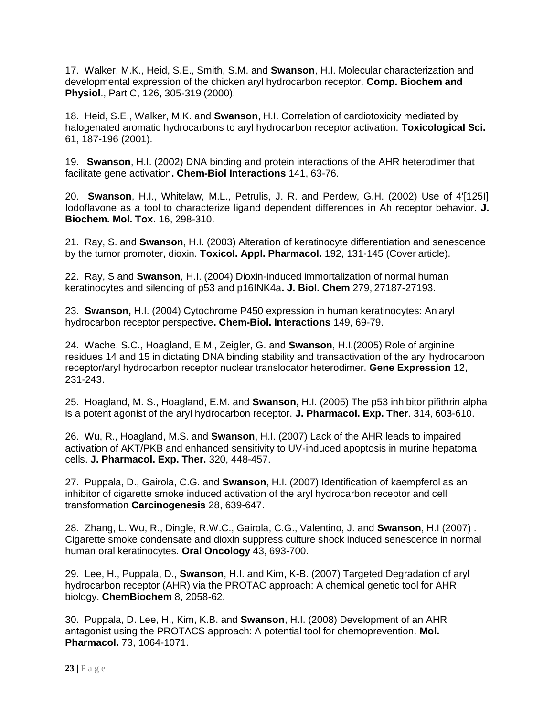17. Walker, M.K., Heid, S.E., Smith, S.M. and **Swanson**, H.I. Molecular characterization and developmental expression of the chicken aryl hydrocarbon receptor. **Comp. Biochem and Physiol**., Part C, 126, 305-319 (2000).

18. Heid, S.E., Walker, M.K. and **Swanson**, H.I. Correlation of cardiotoxicity mediated by halogenated aromatic hydrocarbons to aryl hydrocarbon receptor activation. **Toxicological Sci.**  61, 187-196 (2001).

19. **Swanson**, H.I. (2002) DNA binding and protein interactions of the AHR heterodimer that facilitate gene activation**. Chem-Biol Interactions** 141, 63-76.

20. **Swanson**, H.I., Whitelaw, M.L., Petrulis, J. R. and Perdew, G.H. (2002) Use of 4'[125I] Iodoflavone as a tool to characterize ligand dependent differences in Ah receptor behavior. **J. Biochem. Mol. Tox**. 16, 298-310.

21. Ray, S. and **Swanson**, H.I. (2003) Alteration of keratinocyte differentiation and senescence by the tumor promoter, dioxin. **Toxicol. Appl. Pharmacol.** 192, 131-145 (Cover article).

22. Ray, S and **Swanson**, H.I. (2004) Dioxin-induced immortalization of normal human keratinocytes and silencing of p53 and p16INK4a**. J. Biol. Chem** 279, 27187-27193.

23. **Swanson,** H.I. (2004) Cytochrome P450 expression in human keratinocytes: An aryl hydrocarbon receptor perspective**. Chem-Biol. Interactions** 149, 69-79.

24. Wache, S.C., Hoagland, E.M., Zeigler, G. and **Swanson**, H.I.(2005) Role of arginine residues 14 and 15 in dictating DNA binding stability and transactivation of the aryl hydrocarbon receptor/aryl hydrocarbon receptor nuclear translocator heterodimer. **Gene Expression** 12, 231-243.

25. Hoagland, M. S., Hoagland, E.M. and **Swanson,** H.I. (2005) The p53 inhibitor pifithrin alpha is a potent agonist of the aryl hydrocarbon receptor. **J. Pharmacol. Exp. Ther**. 314, 603-610.

26. Wu, R., Hoagland, M.S. and **Swanson**, H.I. (2007) Lack of the AHR leads to impaired activation of AKT/PKB and enhanced sensitivity to UV-induced apoptosis in murine hepatoma cells. **J. Pharmacol. Exp. Ther.** 320, 448-457.

27. Puppala, D., Gairola, C.G. and **Swanson**, H.I. (2007) Identification of kaempferol as an inhibitor of cigarette smoke induced activation of the aryl hydrocarbon receptor and cell transformation **Carcinogenesis** 28, 639-647.

28. Zhang, L. Wu, R., Dingle, R.W.C., Gairola, C.G., Valentino, J. and **Swanson**, H.I (2007) . Cigarette smoke condensate and dioxin suppress culture shock induced senescence in normal human oral keratinocytes. **Oral Oncology** 43, 693-700.

29. Lee, H., Puppala, D., **Swanson**, H.I. and Kim, K-B. (2007) Targeted Degradation of aryl hydrocarbon receptor (AHR) via the PROTAC approach: A chemical genetic tool for AHR biology. **ChemBiochem** 8, 2058-62.

30. Puppala, D. Lee, H., Kim, K.B. and **Swanson**, H.I. (2008) Development of an AHR antagonist using the PROTACS approach: A potential tool for chemoprevention. **Mol. Pharmacol.** 73, 1064-1071.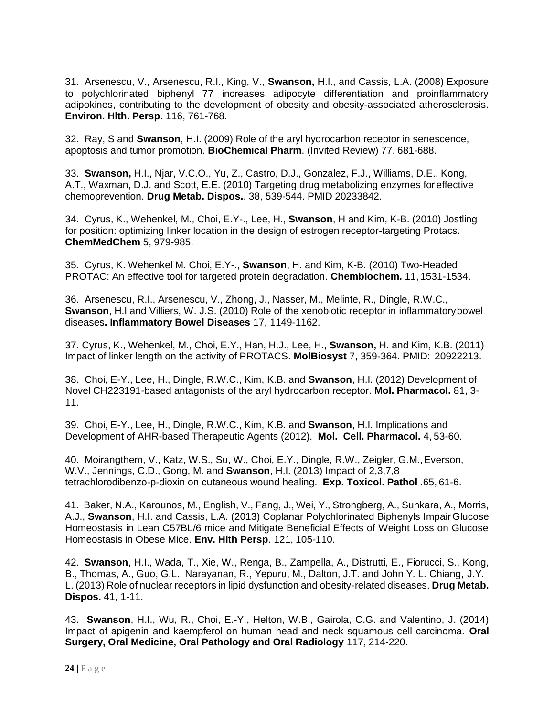31. Arsenescu, V., Arsenescu, R.I., King, V., **Swanson,** H.I., and Cassis, L.A. (2008) Exposure to polychlorinated biphenyl 77 increases adipocyte differentiation and proinflammatory adipokines, contributing to the development of obesity and obesity-associated atherosclerosis. **Environ. Hlth. Persp**. 116, 761-768.

32. Ray, S and **Swanson**, H.I. (2009) Role of the aryl hydrocarbon receptor in senescence, apoptosis and tumor promotion. **BioChemical Pharm**. (Invited Review) 77, 681-688.

33. **Swanson,** H.I., Njar, V.C.O., Yu, Z., Castro, D.J., Gonzalez, F.J., Williams, D.E., Kong, A.T., Waxman, D.J. and Scott, E.E. (2010) Targeting drug metabolizing enzymes foreffective chemoprevention. **Drug Metab. Dispos.**. 38, 539-544. PMID 20233842.

34. Cyrus, K., Wehenkel, M., Choi, E.Y-., Lee, H., **Swanson**, H and Kim, K-B. (2010) Jostling for position: optimizing linker location in the design of estrogen receptor-targeting Protacs. **ChemMedChem** 5, 979-985.

35. Cyrus, K. Wehenkel M. Choi, E.Y-., **Swanson**, H. and Kim, K-B. (2010) Two-Headed PROTAC: An effective tool for targeted protein degradation. **Chembiochem.** 11, 1531-1534.

36. Arsenescu, R.I., Arsenescu, V., Zhong, J., Nasser, M., Melinte, R., Dingle, R.W.C., **Swanson**, H.I and Villiers, W. J.S. (2010) Role of the xenobiotic receptor in inflammatorybowel diseases**. Inflammatory Bowel Diseases** 17, 1149-1162.

37. Cyrus, K., Wehenkel, M., Choi, E.Y., Han, H.J., Lee, H., **Swanson,** H. and Kim, K.B. (2011) Impact of linker length on the activity of PROTACS. **MolBiosyst** 7, 359-364. PMID: 20922213.

38. Choi, E-Y., Lee, H., Dingle, R.W.C., Kim, K.B. and **Swanson**, H.I. (2012) Development of Novel CH223191-based antagonists of the aryl hydrocarbon receptor. **Mol. Pharmacol.** 81, 3- 11.

39. Choi, E-Y., Lee, H., Dingle, R.W.C., Kim, K.B. and **Swanson**, H.I. Implications and Development of AHR-based Therapeutic Agents (2012). **Mol. Cell. Pharmacol.** 4, 53-60.

40. Moirangthem, V., Katz, W.S., Su, W., Choi, E.Y., Dingle, R.W., Zeigler, G.M.,Everson, W.V., Jennings, C.D., Gong, M. and **Swanson**, H.I. (2013) Impact of 2,3,7,8 tetrachlorodibenzo-p-dioxin on cutaneous wound healing. **Exp. Toxicol. Pathol** .65, 61-6.

41. Baker, N.A., Karounos, M., English, V., Fang, J., Wei, Y., Strongberg, A., Sunkara, A., Morris, A.J., **Swanson**, H.I. and Cassis, L.A. (2013) Coplanar Polychlorinated Biphenyls Impair Glucose Homeostasis in Lean C57BL/6 mice and Mitigate Beneficial Effects of Weight Loss on Glucose Homeostasis in Obese Mice. **Env. Hlth Persp**. 121, 105-110.

42. **Swanson**, H.I., Wada, T., Xie, W., Renga, B., Zampella, A., Distrutti, E., Fiorucci, S., Kong, B., Thomas, A., Guo, G.L., Narayanan, R., Yepuru, M., Dalton, J.T. and John Y. L. Chiang, J.Y. L. (2013) Role of nuclear receptors in lipid dysfunction and obesity-related diseases. **Drug Metab. Dispos.** 41, 1-11.

43. **Swanson**, H.I., Wu, R., Choi, E.-Y., Helton, W.B., Gairola, C.G. and Valentino, J. (2014) Impact of apigenin and kaempferol on human head and neck squamous cell carcinoma. **Oral Surgery, Oral Medicine, Oral Pathology and Oral Radiology** 117, 214-220.